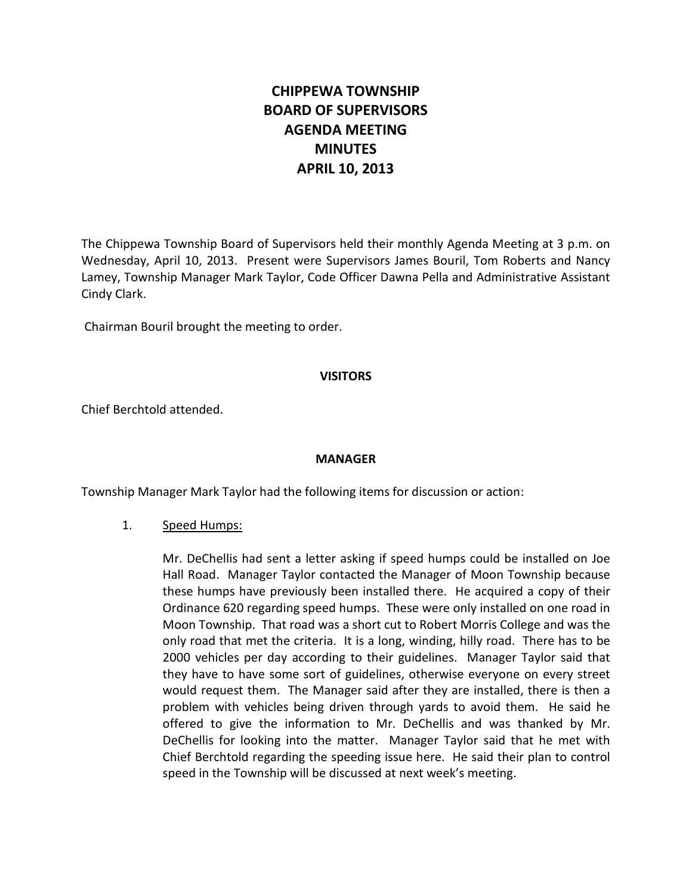# **CHIPPEWA TOWNSHIP BOARD OF SUPERVISORS AGENDA MEETING MINUTES APRIL 10, 2013**

The Chippewa Township Board of Supervisors held their monthly Agenda Meeting at 3 p.m. on Wednesday, April 10, 2013. Present were Supervisors James Bouril, Tom Roberts and Nancy Lamey, Township Manager Mark Taylor, Code Officer Dawna Pella and Administrative Assistant Cindy Clark.

Chairman Bouril brought the meeting to order.

#### **VISITORS**

Chief Berchtold attended.

#### **MANAGER**

Township Manager Mark Taylor had the following items for discussion or action:

# 1. Speed Humps:

Mr. DeChellis had sent a letter asking if speed humps could be installed on Joe Hall Road. Manager Taylor contacted the Manager of Moon Township because these humps have previously been installed there. He acquired a copy of their Ordinance 620 regarding speed humps. These were only installed on one road in Moon Township. That road was a short cut to Robert Morris College and was the only road that met the criteria. It is a long, winding, hilly road. There has to be 2000 vehicles per day according to their guidelines. Manager Taylor said that they have to have some sort of guidelines, otherwise everyone on every street would request them. The Manager said after they are installed, there is then a problem with vehicles being driven through yards to avoid them. He said he offered to give the information to Mr. DeChellis and was thanked by Mr. DeChellis for looking into the matter. Manager Taylor said that he met with Chief Berchtold regarding the speeding issue here. He said their plan to control speed in the Township will be discussed at next week's meeting.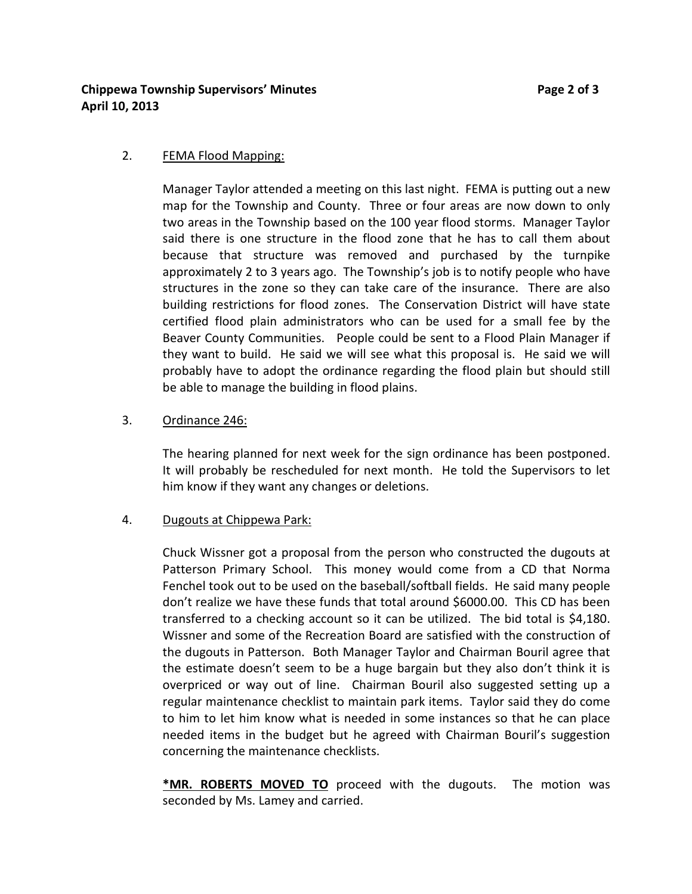**Chippewa Township Supervisors' Minutes Page 2 of 3 April 10, 2013**

#### 2. FEMA Flood Mapping:

Manager Taylor attended a meeting on this last night. FEMA is putting out a new map for the Township and County. Three or four areas are now down to only two areas in the Township based on the 100 year flood storms. Manager Taylor said there is one structure in the flood zone that he has to call them about because that structure was removed and purchased by the turnpike approximately 2 to 3 years ago. The Township's job is to notify people who have structures in the zone so they can take care of the insurance. There are also building restrictions for flood zones. The Conservation District will have state certified flood plain administrators who can be used for a small fee by the Beaver County Communities. People could be sent to a Flood Plain Manager if they want to build. He said we will see what this proposal is. He said we will probably have to adopt the ordinance regarding the flood plain but should still be able to manage the building in flood plains.

#### 3. Ordinance 246:

The hearing planned for next week for the sign ordinance has been postponed. It will probably be rescheduled for next month. He told the Supervisors to let him know if they want any changes or deletions.

#### 4. Dugouts at Chippewa Park:

Chuck Wissner got a proposal from the person who constructed the dugouts at Patterson Primary School. This money would come from a CD that Norma Fenchel took out to be used on the baseball/softball fields. He said many people don't realize we have these funds that total around \$6000.00. This CD has been transferred to a checking account so it can be utilized. The bid total is \$4,180. Wissner and some of the Recreation Board are satisfied with the construction of the dugouts in Patterson. Both Manager Taylor and Chairman Bouril agree that the estimate doesn't seem to be a huge bargain but they also don't think it is overpriced or way out of line. Chairman Bouril also suggested setting up a regular maintenance checklist to maintain park items. Taylor said they do come to him to let him know what is needed in some instances so that he can place needed items in the budget but he agreed with Chairman Bouril's suggestion concerning the maintenance checklists.

**\*MR. ROBERTS MOVED TO** proceed with the dugouts. The motion was seconded by Ms. Lamey and carried.